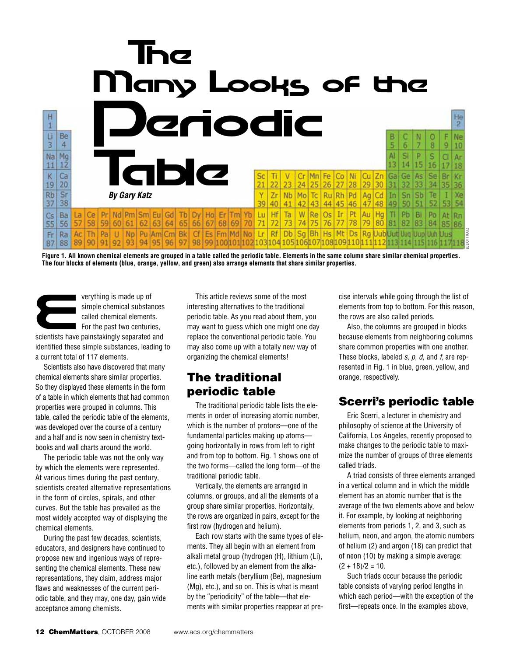

**Figure 1. All known chemical elements are grouped in a table called the periodic table. Elements in the same column share similar chemical properties. The four blocks of elements (blue, orange, yellow, and green) also arrange elements that share similar properties.**

verything is made up of<br>
simple chemical substances<br>
called chemical elements.<br>
For the past two centuries,<br>
scientists have painstakingly separated and simple chemical substances called chemical elements.  $\blacksquare$  For the past two centuries, identified these simple substances, leading to a current total of 117 elements.

Scientists also have discovered that many chemical elements share similar properties. So they displayed these elements in the form of a table in which elements that had common properties were grouped in columns. This table, called the periodic table of the elements, was developed over the course of a century and a half and is now seen in chemistry textbooks and wall charts around the world.

The periodic table was not the only way by which the elements were represented. At various times during the past century, scientists created alternative representations in the form of circles, spirals, and other curves. But the table has prevailed as the most widely accepted way of displaying the chemical elements.

During the past few decades, scientists, educators, and designers have continued to propose new and ingenious ways of representing the chemical elements. These new representations, they claim, address major flaws and weaknesses of the current periodic table, and they may, one day, gain wide acceptance among chemists.

This article reviews some of the most interesting alternatives to the traditional periodic table. As you read about them, you may want to guess which one might one day replace the conventional periodic table. You may also come up with a totally new way of organizing the chemical elements!

# The traditional periodic table

The traditional periodic table lists the elements in order of increasing atomic number, which is the number of protons—one of the fundamental particles making up atoms going horizontally in rows from left to right and from top to bottom. Fig. 1 shows one of the two forms—called the long form—of the traditional periodic table.

Vertically, the elements are arranged in columns, or groups, and all the elements of a group share similar properties. Horizontally, the rows are organized in pairs, except for the first row (hydrogen and helium).

Each row starts with the same types of elements. They all begin with an element from alkali metal group (hydrogen (H), lithium (Li), etc.), followed by an element from the alkaline earth metals (beryllium (Be), magnesium (Mg), etc.), and so on. This is what is meant by the "periodicity" of the table—that elements with similar properties reappear at precise intervals while going through the list of elements from top to bottom. For this reason, the rows are also called periods.

Also, the columns are grouped in blocks because elements from neighboring columns share common properties with one another. These blocks, labeled *s, p, d,* and *f,* are represented in Fig. 1 in blue, green, yellow, and orange, respectively.

#### Scerri's periodic table

Eric Scerri, a lecturer in chemistry and philosophy of science at the University of California, Los Angeles, recently proposed to make changes to the periodic table to maximize the number of groups of three elements called triads.

A triad consists of three elements arranged in a vertical column and in which the middle element has an atomic number that is the average of the two elements above and below it. For example, by looking at neighboring elements from periods 1, 2, and 3, such as helium, neon, and argon, the atomic numbers of helium (2) and argon (18) can predict that of neon (10) by making a simple average:  $(2 + 18)/2 = 10$ . **Example 12**<br> **Alt Ds Rg DubUut Uuq Uup Uuh Dus**<br> **O9|110|111|112|113|114|115|116|117|118|**<br> **Example above are also called periods.**<br>
Also, the columns are grouped in blocks<br>
because elements from top to bottom. For this

Such triads occur because the periodic table consists of varying period lengths in which each period—with the exception of the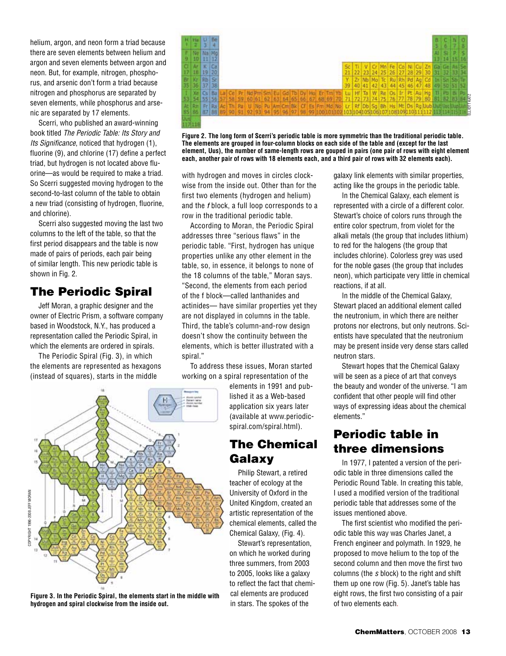helium, argon, and neon form a triad because there are seven elements between helium and argon and seven elements between argon and neon. But, for example, nitrogen, phosphorus, and arsenic don't form a triad because nitrogen and phosphorus are separated by seven elements, while phosphorus and arsenic are separated by 17 elements.

Scerri, who published an award-winning book titled *The Periodic Table: Its Story and Its Significance*, noticed that hydrogen (1), fluorine (9), and chlorine (17) define a perfect triad, but hydrogen is not located above fluorine—as would be required to make a triad. So Scerri suggested moving hydrogen to the second-to-last column of the table to obtain a new triad (consisting of hydrogen, fluorine, and chlorine).

Scerri also suggested moving the last two columns to the left of the table, so that the first period disappears and the table is now made of pairs of periods, each pair being of similar length. This new periodic table is shown in Fig. 2.

# The Periodic Spiral

Jeff Moran, a graphic designer and the owner of Electric Prism, a software company based in Woodstock, N.Y., has produced a representation called the Periodic Spiral, in which the elements are ordered in spirals.

The Periodic Spiral (Fig. 3), in which the elements are represented as hexagons (instead of squares), starts in the middle



**Figure 2. The long form of Scerri's periodic table is more symmetric than the traditional periodic table. The elements are grouped in four-column blocks on each side of the table and (except for the last element, Uus), the number of same-length rows are gouped in pairs (one pair of rows with eight element each, another pair of rows with 18 elements each, and a third pair of rows with 32 elements each).**

with hydrogen and moves in circles clockwise from the inside out. Other than for the first two elements (hydrogen and helium) and the *f* block, a full loop corresponds to a row in the traditional periodic table.

According to Moran, the Periodic Spiral addresses three "serious flaws" in the periodic table. "First, hydrogen has unique properties unlike any other element in the table, so, in essence, it belongs to none of the 18 columns of the table," Moran says. "Second, the elements from each period of the f block—called lanthanides and actinides— have similar properties yet they are not displayed in columns in the table. Third, the table's column-and-row design doesn't show the continuity between the elements, which is better illustrated with a spiral."

To address these issues, Moran started working on a spiral representation of the

> elements in 1991 and published it as a Web-based application six years later (available at www.periodicspiral.com/spiral.html).

# The Chemical Galaxy

Philip Stewart, a retired teacher of ecology at the University of Oxford in the United Kingdom, created an artistic representation of the chemical elements, called the Chemical Galaxy, (Fig. 4).

Stewart's representation, on which he worked during three summers, from 2003 to 2005, looks like a galaxy to reflect the fact that chemical elements are produced in stars. The spokes of the

galaxy link elements with similar properties, acting like the groups in the periodic table.

In the Chemical Galaxy, each element is represented with a circle of a different color. Stewart's choice of colors runs through the entire color spectrum, from violet for the alkali metals (the group that includes lithium) to red for the halogens (the group that includes chlorine). Colorless grey was used for the noble gases (the group that includes neon), which participate very little in chemical reactions, if at all.

In the middle of the Chemical Galaxy, Stewart placed an additional element called the neutronium, in which there are neither protons nor electrons, but only neutrons. Scientists have speculated that the neutronium may be present inside very dense stars called neutron stars.

Stewart hopes that the Chemical Galaxy will be seen as a piece of art that conveys the beauty and wonder of the universe. "I am confident that other people will find other ways of expressing ideas about the chemical elements."

# Periodic table in three dimensions

In 1977, I patented a version of the periodic table in three dimensions called the Periodic Round Table. In creating this table, I used a modified version of the traditional periodic table that addresses some of the issues mentioned above.

The first scientist who modified the periodic table this way was Charles Janet, a French engineer and polymath. In 1929, he proposed to move helium to the top of the second column and then move the first two columns (the *s* block) to the right and shift them up one row (Fig. 5). Janet's table has eight rows, the first two consisting of a pair of two elements each.



**Figure 3. In the Periodic Spiral, the elements start in the middle with hydrogen and spiral clockwise from the inside out.**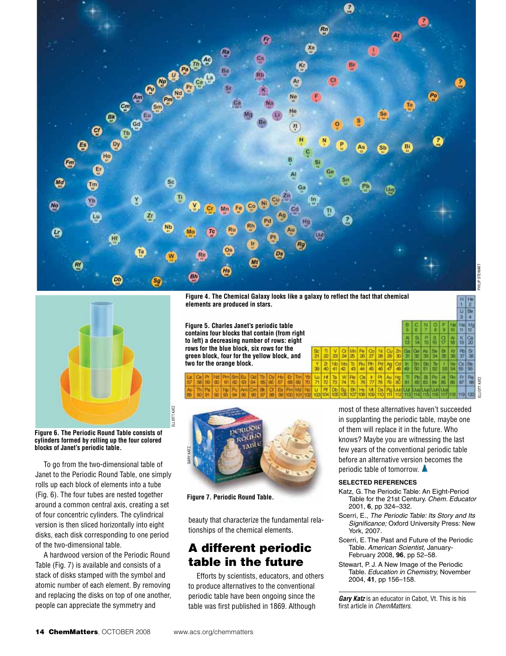

ELLIOTT KATZ

KATZ



**Figure 6. The Periodic Round Table consists of cylinders formed by rolling up the four colored blocks of Janet's periodic table.**

To go from the two-dimensional table of Janet to the Periodic Round Table, one simply rolls up each block of elements into a tube (Fig. 6). The four tubes are nested together around a common central axis, creating a set of four concentric cylinders. The cylindrical version is then sliced horizontally into eight disks, each disk corresponding to one period of the two-dimensional table.

A hardwood version of the Periodic Round Table (Fig. 7) is available and consists of a stack of disks stamped with the symbol and atomic number of each element. By removing and replacing the disks on top of one another, people can appreciate the symmetry and

**Figure 4. The Chemical Galaxy looks like a galaxy to reflect the fact that chemical elements are produced in stars.**

**Figure 5. Charles Janet's periodic table contains four blocks that contain (from right to left) a decreasing number of rows: eight rows for the blue block, six rows for the green block, four for the yellow block, and two for the orange block.**



**Figure 7. Periodic Round Table.**

beauty that characterize the fundamental relationships of the chemical elements.

#### A different periodic table in the future

Efforts by scientists, educators, and others to produce alternatives to the conventional periodic table have been ongoing since the table was first published in 1869. Although

most of these alternatives haven't succeeded in supplanting the periodic table, maybe one of them will replace it in the future. Who knows? Maybe you are witnessing the last few years of the conventional periodic table before an alternative version becomes the periodic table of tomorrow.

#### **SELECTED REFERENCES**

- Katz, G. The Periodic Table: An Eight-Period Table for the 21st Century. *Chem. Educator* 2001, **6**, pp 324–332.
- Scerri, E., *The Periodic Table: Its Story and Its Significance;* Oxford University Press: New York, 2007.
- Scerri, E. The Past and Future of the Periodic Table. *American Scientist,* January-February 2008, **96**, pp 52–58.
- Stewart, P. J. A New Image of the Periodic Table. *Education in Chemistry,* November 2004, **41**, pp 156–158.

*Gary Katz* is an educator in Cabot, Vt. This is his first article in *ChemMatters*.